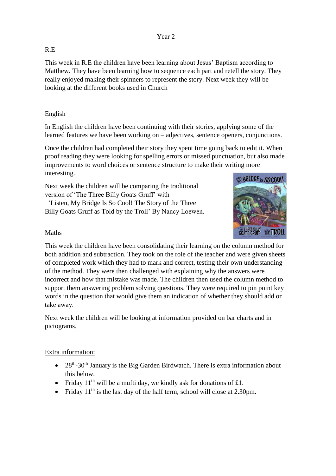### Year 2

## R.E

This week in R.E the children have been learning about Jesus' Baptism according to Matthew. They have been learning how to sequence each part and retell the story. They really enjoyed making their spinners to represent the story. Next week they will be looking at the different books used in Church

## English

In English the children have been continuing with their stories, applying some of the learned features we have been working on – adjectives, sentence openers, conjunctions.

Once the children had completed their story they spent time going back to edit it. When proof reading they were looking for spelling errors or missed punctuation, but also made improvements to word choices or sentence structure to make their writing more interesting.

Next week the children will be comparing the traditional version of 'The Three Billy Goats Gruff' with

 'Listen, My Bridge Is So Cool! The Story of the Three Billy Goats Gruff as Told by the Troll' By Nancy Loewen.



### Maths

This week the children have been consolidating their learning on the column method for both addition and subtraction. They took on the role of the teacher and were given sheets of completed work which they had to mark and correct, testing their own understanding of the method. They were then challenged with explaining why the answers were incorrect and how that mistake was made. The children then used the column method to support them answering problem solving questions. They were required to pin point key words in the question that would give them an indication of whether they should add or take away.

Next week the children will be looking at information provided on bar charts and in pictograms.

### Extra information:

- $\bullet$  28<sup>th</sup>-30<sup>th</sup> January is the Big Garden Birdwatch. There is extra information about this below.
- Friday  $11<sup>th</sup>$  will be a mufti day, we kindly ask for donations of £1.
- Friday  $11<sup>th</sup>$  is the last day of the half term, school will close at 2.30pm.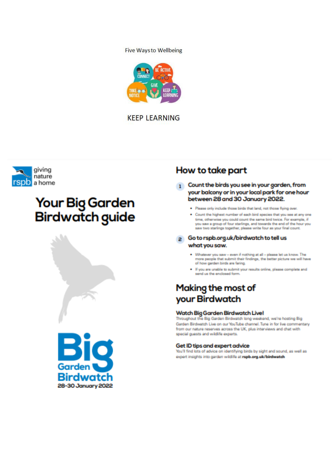### **Five Waysto Wellbeing**



**KEEP LEARNING** 



# **Your Big Garden Birdwatch guide**





# How to take part

- 1 Count the birds you see in your garden, from your balcony or in your local park for one hour between 28 and 30 January 2022.
	- . Please only include those birds that land, not those fiving over.
	- . Count the highest number of each bird species that you see at any one time, otherwise you could count the same bird twice. For example, if you saw a group of four starlings, and towards the end of the hour you saw two starlings together, please write four as your final count.

### 2 Go to rspb.org.uk/birdwatch to tell us what you saw.

- . Whatever you saw even if nothing at all please let us know. The more people that submit their findings, the better picture we will have of how garden birds are faring.
- . If you are unable to submit your results online, please complete and sand in the enclosed from

# Making the most of your Birdwatch

### Watch Big Garden Birdwatch Live!

Throughout the Big Garden Birdwatch long weekend, we're hosting Big Garden Birdwatch Live on our YouTube channel. Tune in for live commentary from our nature reserves across the UK, plus interviews and chat with special guests and wildlife experts.

#### Get ID tips and expert advice

You'll find lots of advice on identifying birds by sight and sound, as well as expert insights into garden wildlife at rapb.org.uk/birdwatch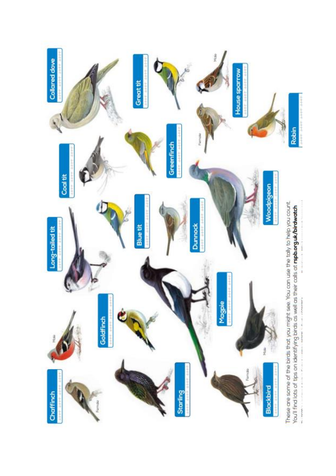